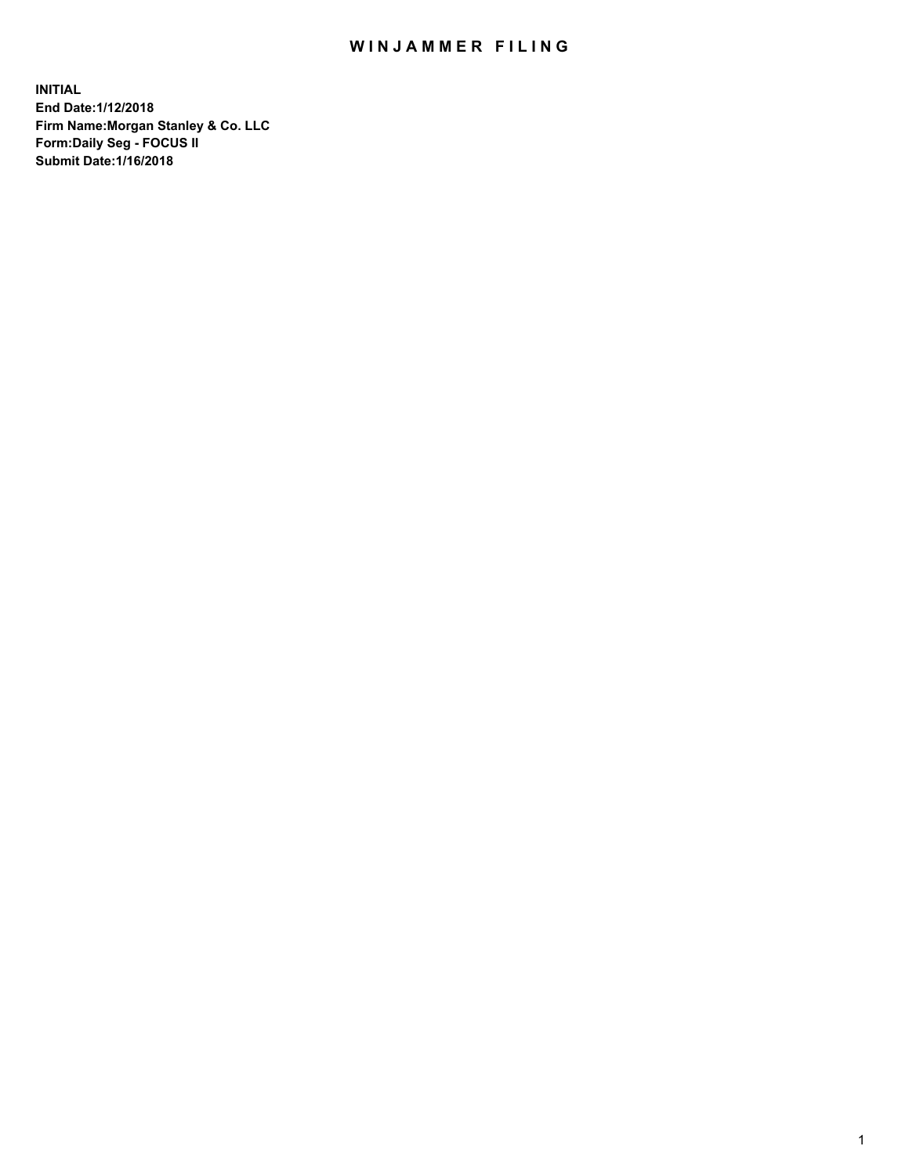# WIN JAMMER FILING

**INITIAL End Date:1/12/2018 Firm Name:Morgan Stanley & Co. LLC Form:Daily Seg - FOCUS II Submit Date:1/16/2018**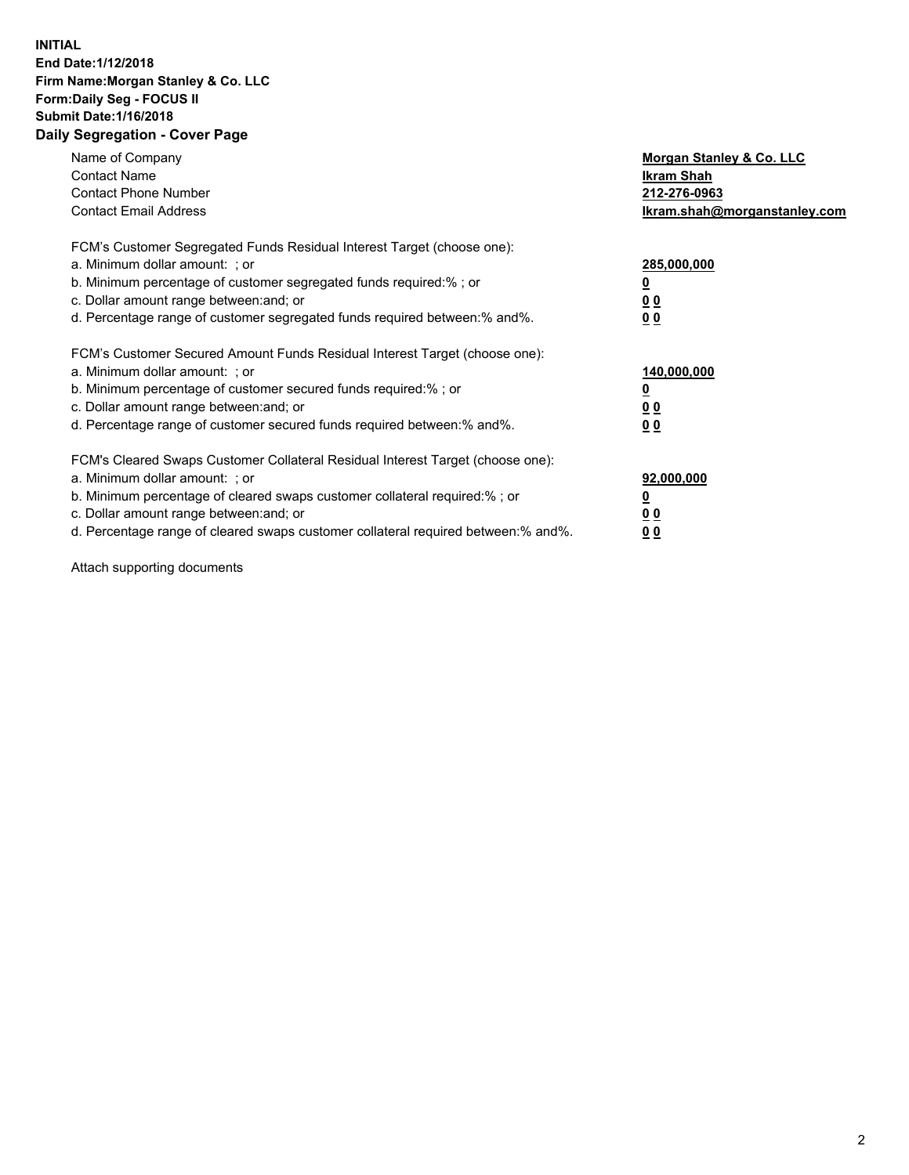### **INITIAL End Date:1/12/2018 Firm Name:Morgan Stanley & Co. LLC Form:Daily Seg - FOCUS II Submit Date:1/16/2018 Daily Segregation - Cover Page**

| Name of Company<br><b>Contact Name</b><br><b>Contact Phone Number</b><br><b>Contact Email Address</b>                                                                                                                                                                                                                         | Morgan Stanley & Co. LLC<br>Ikram Shah<br>212-276-0963<br>lkram.shah@morganstanley.com |
|-------------------------------------------------------------------------------------------------------------------------------------------------------------------------------------------------------------------------------------------------------------------------------------------------------------------------------|----------------------------------------------------------------------------------------|
| FCM's Customer Segregated Funds Residual Interest Target (choose one):<br>a. Minimum dollar amount: ; or<br>b. Minimum percentage of customer segregated funds required:%; or<br>c. Dollar amount range between: and; or<br>d. Percentage range of customer segregated funds required between:% and%.                         | 285,000,000<br>0 <sub>0</sub><br>00                                                    |
| FCM's Customer Secured Amount Funds Residual Interest Target (choose one):<br>a. Minimum dollar amount: ; or<br>b. Minimum percentage of customer secured funds required:%; or<br>c. Dollar amount range between: and; or<br>d. Percentage range of customer secured funds required between:% and%.                           | 140,000,000<br>0 <sub>0</sub><br>0 <sub>0</sub>                                        |
| FCM's Cleared Swaps Customer Collateral Residual Interest Target (choose one):<br>a. Minimum dollar amount: ; or<br>b. Minimum percentage of cleared swaps customer collateral required:%; or<br>c. Dollar amount range between: and; or<br>d. Percentage range of cleared swaps customer collateral required between:% and%. | 92,000,000<br>0 <sub>0</sub><br><u>00</u>                                              |

Attach supporting documents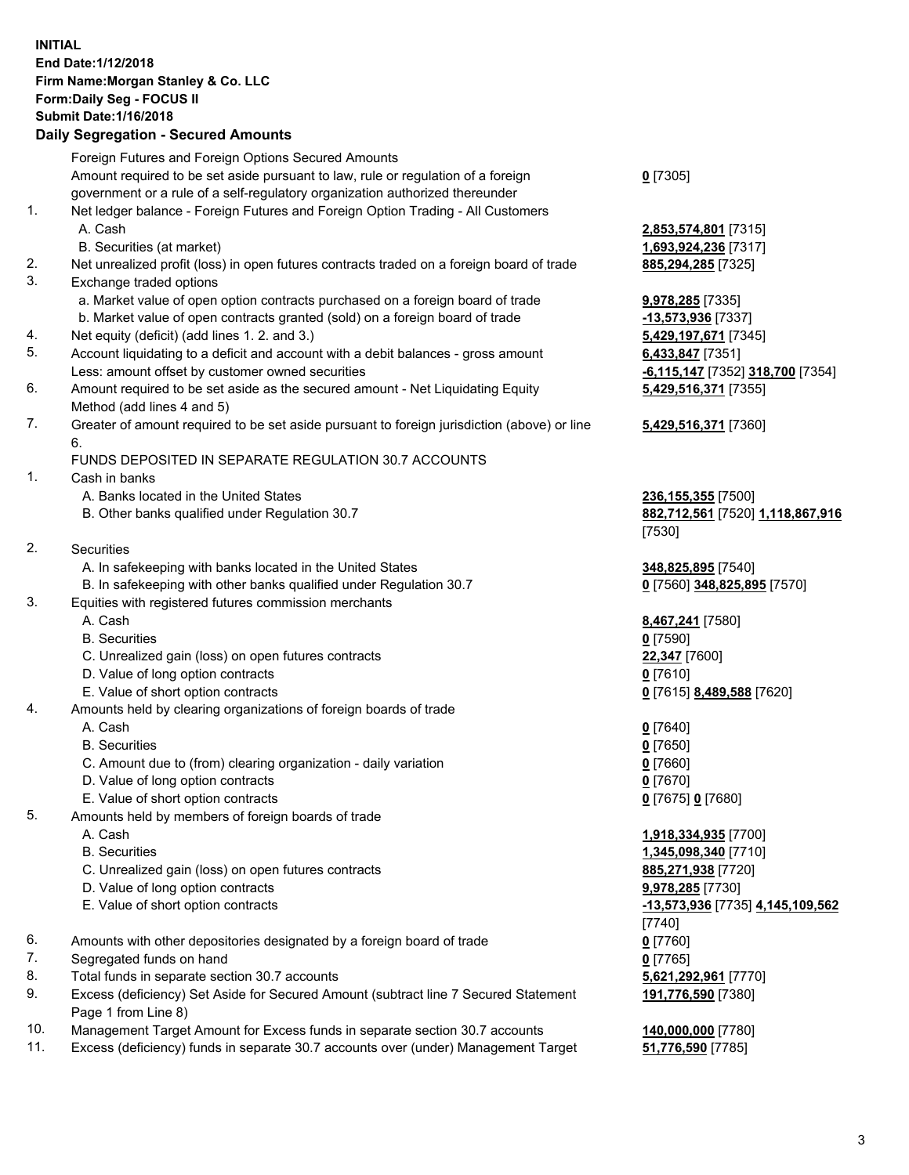# **INITIAL End Date:1/12/2018 Firm Name:Morgan Stanley & Co. LLC Form:Daily Seg - FOCUS II Submit Date:1/16/2018**

## **Daily Segregation - Secured Amounts**

|    | Foreign Futures and Foreign Options Secured Amounts                                               |                                |
|----|---------------------------------------------------------------------------------------------------|--------------------------------|
|    | Amount required to be set aside pursuant to law, rule or regulation of a foreign                  | $0$ [7305]                     |
|    | government or a rule of a self-regulatory organization authorized thereunder                      |                                |
| 1. | Net ledger balance - Foreign Futures and Foreign Option Trading - All Customers                   |                                |
|    | A. Cash                                                                                           | 2,853,574,801 [7315]           |
|    | B. Securities (at market)                                                                         | 1,693,924,236 [7317]           |
| 2. | Net unrealized profit (loss) in open futures contracts traded on a foreign board of trade         | 885,294,285 [7325]             |
| 3. | Exchange traded options                                                                           |                                |
|    | a. Market value of open option contracts purchased on a foreign board of trade                    | 9,978,285 [7335]               |
|    | b. Market value of open contracts granted (sold) on a foreign board of trade                      | -13,573,936 [7337]             |
| 4. | Net equity (deficit) (add lines 1.2. and 3.)                                                      | 5,429,197,671 [7345]           |
| 5. | Account liquidating to a deficit and account with a debit balances - gross amount                 | 6,433,847 [7351]               |
|    | Less: amount offset by customer owned securities                                                  | -6,115,147 [7352] 318,700 [735 |
| 6. | Amount required to be set aside as the secured amount - Net Liquidating Equity                    | 5,429,516,371 [7355]           |
|    | Method (add lines 4 and 5)                                                                        |                                |
| 7. | Greater of amount required to be set aside pursuant to foreign jurisdiction (above) or line<br>6. | 5,429,516,371 [7360]           |
|    | FUNDS DEPOSITED IN SEPARATE REGULATION 30.7 ACCOUNTS                                              |                                |
| 1. | Cash in banks                                                                                     |                                |
|    | A. Banks located in the United States                                                             | 236,155,355 [7500]             |
|    | B. Other banks qualified under Regulation 30.7                                                    | 882,712,561 [7520] 1,118,867,9 |
|    |                                                                                                   | [7530]                         |
| 2. | Securities                                                                                        |                                |
|    | A. In safekeeping with banks located in the United States                                         | 348,825,895 [7540]             |
|    | B. In safekeeping with other banks qualified under Regulation 30.7                                | 0 [7560] 348,825,895 [7570]    |
| 3. | Equities with registered futures commission merchants                                             |                                |
|    | A. Cash                                                                                           | 8,467,241 [7580]               |
|    | <b>B.</b> Securities                                                                              | $0$ [7590]                     |
|    | C. Unrealized gain (loss) on open futures contracts                                               | 22,347 [7600]                  |
|    | D. Value of long option contracts                                                                 | $0$ [7610]                     |
|    | E. Value of short option contracts                                                                | 0 [7615] 8,489,588 [7620]      |
| 4. | Amounts held by clearing organizations of foreign boards of trade                                 |                                |
|    | A. Cash                                                                                           | $0$ [7640]                     |
|    | <b>B.</b> Securities                                                                              | $0$ [7650]                     |
|    | C. Amount due to (from) clearing organization - daily variation                                   | $0$ [7660]                     |
|    | D. Value of long option contracts                                                                 | $0$ [7670]                     |
|    | E. Value of short option contracts                                                                | 0 [7675] 0 [7680]              |
| 5. | Amounts held by members of foreign boards of trade                                                |                                |
|    | A. Cash                                                                                           | 1,918,334,935 [7700]           |
|    | <b>B.</b> Securities                                                                              | 1,345,098,340 [7710]           |
|    | C. Unrealized gain (loss) on open futures contracts                                               | 885,271,938 [7720]             |
|    | D. Value of long option contracts                                                                 | 9,978,285 [7730]               |
|    | E. Value of short option contracts                                                                | -13,573,936 [7735] 4,145,109,5 |
|    |                                                                                                   | [7740]                         |
| 6. | Amounts with other depositories designated by a foreign board of trade                            | $0$ [7760]                     |
| 7. | Segregated funds on hand                                                                          | $0$ [7765]                     |
| 8. | Total funds in separate section 30.7 accounts                                                     | 5,621,292,961 [7770]           |
| 9. | Excess (deficiency) Set Aside for Secured Amount (subtract line 7 Secured Statement               | 191,776,590 [7380]             |
|    | Page 1 from Line 8)                                                                               |                                |

- 10. Management Target Amount for Excess funds in separate section 30.7 accounts **140,000,000** [7780]
- 11. Excess (deficiency) funds in separate 30.7 accounts over (under) Management Target **51,776,590** [7785]

197,671 [7345] 2147 [7352] **318,700** [7354] **5,429,516,371** [7355]

#### **5,429,516,371** [7360]

 B. Other banks qualified under Regulation 30.7 **882,712,561** [7520] **1,118,867,916** [7530]

 A. Cash **1,918,334,935** [7700] **098,340** [7710] C. Unrealized gain (loss) on open futures contracts **885,271,938** [7720] E. Value of short option contracts **-13,573,936** [7735] **4,145,109,562** [7740] **892,961** [7770] **191,776,590** [7380]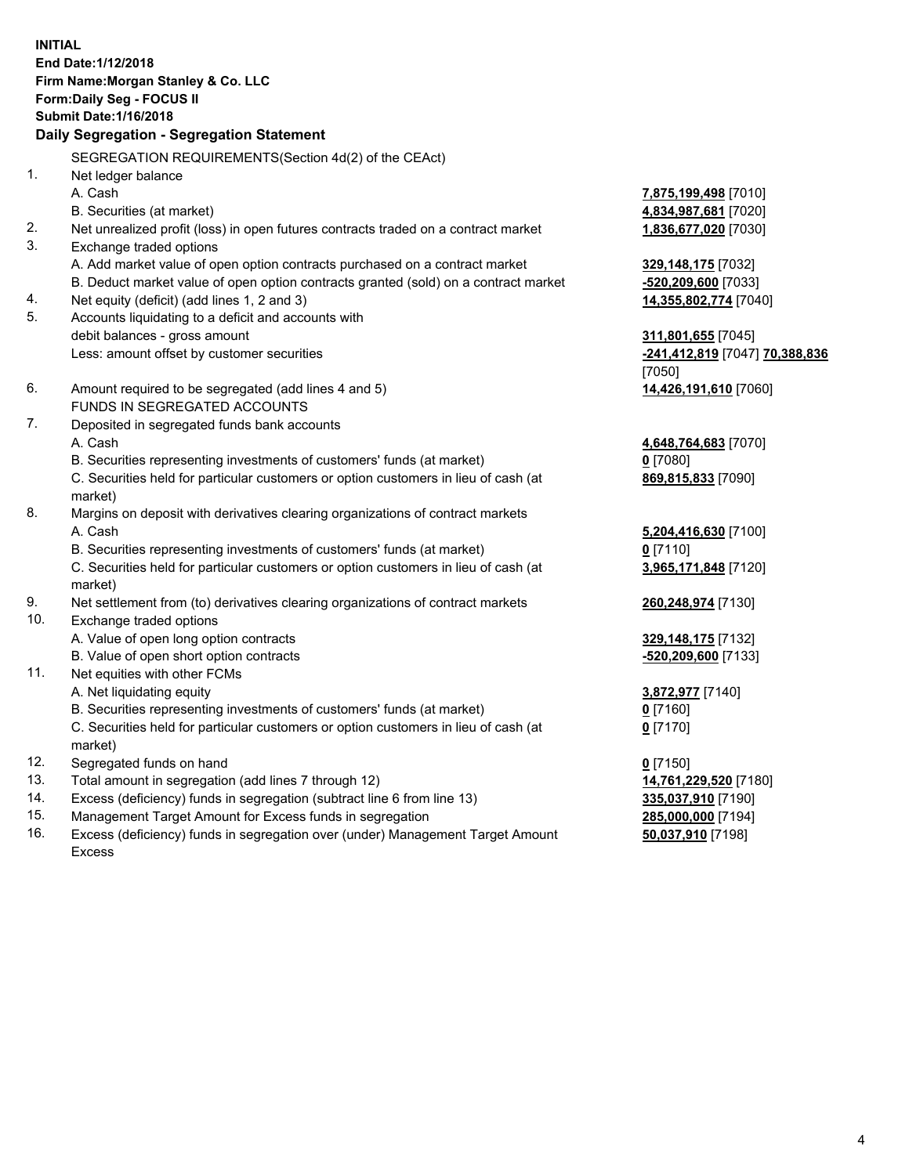**INITIAL End Date:1/12/2018 Firm Name:Morgan Stanley & Co. LLC Form:Daily Seg - FOCUS II Submit Date:1/16/2018 Daily Segregation - Segregation Statement** SEGREGATION REQUIREMENTS(Section 4d(2) of the CEAct) 1. Net ledger balance A. Cash **7,875,199,498** [7010] B. Securities (at market) **4,834,987,681** [7020] 2. Net unrealized profit (loss) in open futures contracts traded on a contract market **1,836,677,020** [7030] 3. Exchange traded options A. Add market value of open option contracts purchased on a contract market **329,148,175** [7032] B. Deduct market value of open option contracts granted (sold) on a contract market **-520,209,600** [7033] 4. Net equity (deficit) (add lines 1, 2 and 3) **14,355,802,774** [7040] 5. Accounts liquidating to a deficit and accounts with debit balances - gross amount **311,801,655** [7045] Less: amount offset by customer securities **-241,412,819** [7047] **70,388,836** [7050] 6. Amount required to be segregated (add lines 4 and 5) **14,426,191,610** [7060] FUNDS IN SEGREGATED ACCOUNTS 7. Deposited in segregated funds bank accounts A. Cash **4,648,764,683** [7070] B. Securities representing investments of customers' funds (at market) **0** [7080] C. Securities held for particular customers or option customers in lieu of cash (at market) **869,815,833** [7090] 8. Margins on deposit with derivatives clearing organizations of contract markets A. Cash **5,204,416,630** [7100] B. Securities representing investments of customers' funds (at market) **0** [7110] C. Securities held for particular customers or option customers in lieu of cash (at market) **3,965,171,848** [7120] 9. Net settlement from (to) derivatives clearing organizations of contract markets **260,248,974** [7130] 10. Exchange traded options A. Value of open long option contracts **329,148,175** [7132] B. Value of open short option contracts **-520,209,600** [7133] 11. Net equities with other FCMs A. Net liquidating equity **3,872,977** [7140] B. Securities representing investments of customers' funds (at market) **0** [7160] C. Securities held for particular customers or option customers in lieu of cash (at market) **0** [7170] 12. Segregated funds on hand **0** [7150] 13. Total amount in segregation (add lines 7 through 12) **14,761,229,520** [7180] 14. Excess (deficiency) funds in segregation (subtract line 6 from line 13) **335,037,910** [7190]

- 15. Management Target Amount for Excess funds in segregation **285,000,000** [7194]
- 16. Excess (deficiency) funds in segregation over (under) Management Target Amount Excess

**50,037,910** [7198]